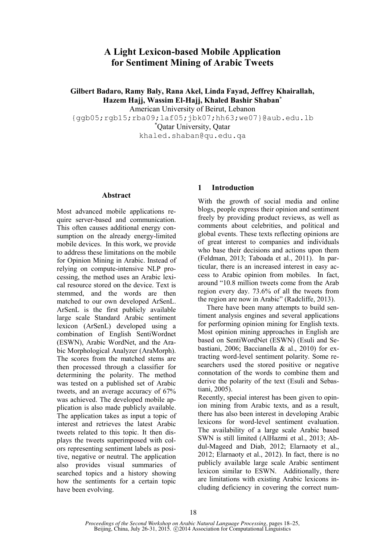# **A Light Lexicon-based Mobile Application for Sentiment Mining of Arabic Tweets**

**Gilbert Badaro, Ramy Baly, Rana Akel, Linda Fayad, Jeffrey Khairallah, Hazem Hajj, Wassim El-Hajj, Khaled Bashir Shaban\***

American University of Beirut, Lebanon

{ggb05;rgb15;rba09;laf05;jbk07;hh63;we07}@aub.edu.lb

\*Qatar University, Qatar

khaled.shaban@qu.edu.qa

#### **Abstract**

Most advanced mobile applications require server-based and communication. This often causes additional energy consumption on the already energy-limited mobile devices. In this work, we provide to address these limitations on the mobile for Opinion Mining in Arabic. Instead of relying on compute-intensive NLP processing, the method uses an Arabic lexical resource stored on the device. Text is stemmed, and the words are then matched to our own developed ArSenL. ArSenL is the first publicly available large scale Standard Arabic sentiment lexicon (ArSenL) developed using a combination of English SentiWordnet (ESWN), Arabic WordNet, and the Arabic Morphological Analyzer (AraMorph). The scores from the matched stems are then processed through a classifier for determining the polarity. The method was tested on a published set of Arabic tweets, and an average accuracy of 67% was achieved. The developed mobile application is also made publicly available. The application takes as input a topic of interest and retrieves the latest Arabic tweets related to this topic. It then displays the tweets superimposed with colors representing sentiment labels as positive, negative or neutral. The application also provides visual summaries of searched topics and a history showing how the sentiments for a certain topic have been evolving.

# **1 Introduction**

With the growth of social media and online blogs, people express their opinion and sentiment freely by providing product reviews, as well as comments about celebrities, and political and global events. These texts reflecting opinions are of great interest to companies and individuals who base their decisions and actions upon them (Feldman, 2013; Taboada et al., 2011). In particular, there is an increased interest in easy access to Arabic opinion from mobiles. In fact, around "10.8 million tweets come from the Arab region every day. 73.6% of all the tweets from the region are now in Arabic" (Radcliffe, 2013).

There have been many attempts to build sentiment analysis engines and several applications for performing opinion mining for English texts. Most opinion mining approaches in English are based on SentiWordNet (ESWN) (Esuli and Sebastiani, 2006; Baccianella & al., 2010) for extracting word-level sentiment polarity. Some researchers used the stored positive or negative connotation of the words to combine them and derive the polarity of the text (Esuli and Sebastiani, 2005).

Recently, special interest has been given to opinion mining from Arabic texts, and as a result, there has also been interest in developing Arabic lexicons for word-level sentiment evaluation. The availability of a large scale Arabic based SWN is still limited (AlHazmi et al., 2013; Abdul-Mageed and Diab, 2012; Elarnaoty et al., 2012; Elarnaoty et al., 2012). In fact, there is no publicly available large scale Arabic sentiment lexicon similar to ESWN. Additionally, there are limitations with existing Arabic lexicons including deficiency in covering the correct num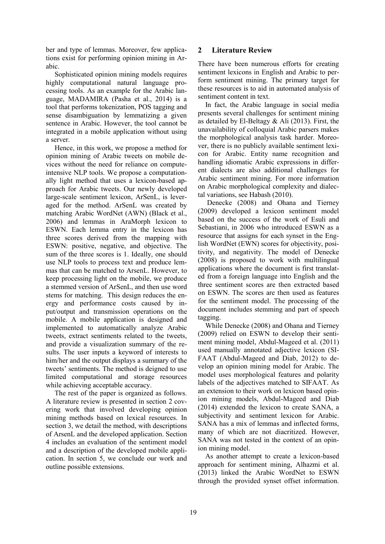ber and type of lemmas. Moreover, few applications exist for performing opinion mining in Arabic.

Sophisticated opinion mining models requires highly computational natural language processing tools. As an example for the Arabic language, MADAMIRA (Pasha et al., 2014) is a tool that performs tokenization, POS tagging and sense disambiguation by lemmatizing a given sentence in Arabic. However, the tool cannot be integrated in a mobile application without using a server.

Hence, in this work, we propose a method for opinion mining of Arabic tweets on mobile devices without the need for reliance on computeintensive NLP tools. We propose a computationally light method that uses a lexicon-based approach for Arabic tweets. Our newly developed large-scale sentiment lexicon, ArSenL, is leveraged for the method. ArSenL was created by matching Arabic WordNet (AWN) (Black et al., 2006) and lemmas in AraMorph lexicon to ESWN. Each lemma entry in the lexicon has three scores derived from the mapping with ESWN: positive, negative, and objective. The sum of the three scores is 1. Ideally, one should use NLP tools to process text and produce lemmas that can be matched to ArsenL. However, to keep processing light on the mobile, we produce a stemmed version of ArSenL, and then use word stems for matching. This design reduces the energy and performance costs caused by input/output and transmission operations on the mobile. A mobile application is designed and implemented to automatically analyze Arabic tweets, extract sentiments related to the tweets, and provide a visualization summary of the results. The user inputs a keyword of interests to him/her and the output displays a summary of the tweets' sentiments. The method is deigned to use limited computational and storage resources while achieving acceptable accuracy.

The rest of the paper is organized as follows. A literature review is presented in section 2 covering work that involved developing opinion mining methods based on lexical resources. In section 3, we detail the method, with descriptions of ArsenL and the developed application. Section 4 includes an evaluation of the sentiment model and a description of the developed mobile application. In section 5, we conclude our work and outline possible extensions.

# **2 Literature Review**

There have been numerous efforts for creating sentiment lexicons in English and Arabic to perform sentiment mining. The primary target for these resources is to aid in automated analysis of sentiment content in text.

In fact, the Arabic language in social media presents several challenges for sentiment mining as detailed by El-Beltagy & Ali (2013). First, the unavailability of colloquial Arabic parsers makes the morphological analysis task harder. Moreover, there is no publicly available sentiment lexicon for Arabic. Entity name recognition and handling idiomatic Arabic expressions in different dialects are also additional challenges for Arabic sentiment mining. For more information on Arabic morphological complexity and dialectal variations, see Habash (2010).

Denecke (2008) and Ohana and Tierney (2009) developed a lexicon sentiment model based on the success of the work of Esuli and Sebastiani, in 2006 who introduced ESWN as a resource that assigns for each synset in the English WordNet (EWN) scores for objectivity, positivity, and negativity. The model of Denecke (2008) is proposed to work with multilingual applications where the document is first translated from a foreign language into English and the three sentiment scores are then extracted based on ESWN. The scores are then used as features for the sentiment model. The processing of the document includes stemming and part of speech tagging.

While Denecke (2008) and Ohana and Tierney (2009) relied on ESWN to develop their sentiment mining model, Abdul-Mageed et al. (2011) used manually annotated adjective lexicon (SI-FAAT (Abdul-Mageed and Diab, 2012) to develop an opinion mining model for Arabic. The model uses morphological features and polarity labels of the adjectives matched to SIFAAT. As an extension to their work on lexicon based opinion mining models, Abdul-Mageed and Diab (2014) extended the lexicon to create SANA, a subjectivity and sentiment lexicon for Arabic. SANA has a mix of lemmas and inflected forms, many of which are not diacritized. However, SANA was not tested in the context of an opinion mining model.

As another attempt to create a lexicon-based approach for sentiment mining, Alhazmi et al. (2013) linked the Arabic WordNet to ESWN through the provided synset offset information.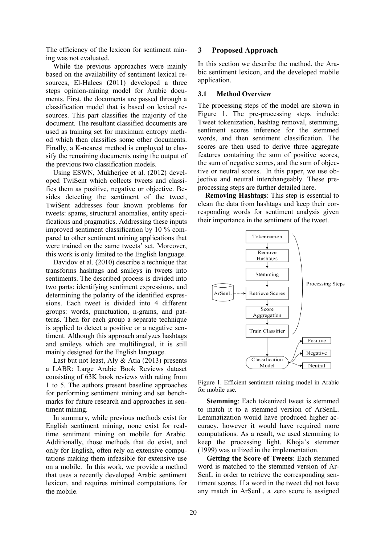The efficiency of the lexicon for sentiment mining was not evaluated.

While the previous approaches were mainly based on the availability of sentiment lexical resources, El-Halees (2011) developed a three steps opinion-mining model for Arabic documents. First, the documents are passed through a classification model that is based on lexical resources. This part classifies the majority of the document. The resultant classified documents are used as training set for maximum entropy method which then classifies some other documents. Finally, a K-nearest method is employed to classify the remaining documents using the output of the previous two classification models.

Using ESWN, Mukherjee et al. (2012) developed TwiSent which collects tweets and classifies them as positive, negative or objective. Besides detecting the sentiment of the tweet, TwiSent addresses four known problems for tweets: spams, structural anomalies, entity specifications and pragmatics. Addressing these inputs improved sentiment classification by 10 % compared to other sentiment mining applications that were trained on the same tweets' set. Moreover, this work is only limited to the English language.

Davidov et al. (2010) describe a technique that transforms hashtags and smileys in tweets into sentiments. The described process is divided into two parts: identifying sentiment expressions, and determining the polarity of the identified expressions. Each tweet is divided into 4 different groups: words, punctuation, n-grams, and patterns. Then for each group a separate technique is applied to detect a positive or a negative sentiment. Although this approach analyzes hashtags and smileys which are multilingual, it is still mainly designed for the English language.

Last but not least, Aly & Atia (2013) presents a LABR: Large Arabic Book Reviews dataset consisting of 63K book reviews with rating from 1 to 5. The authors present baseline approaches for performing sentiment mining and set benchmarks for future research and approaches in sentiment mining.

In summary, while previous methods exist for English sentiment mining, none exist for realtime sentiment mining on mobile for Arabic. Additionally, those methods that do exist, and only for English, often rely on extensive computations making them infeasible for extensive use on a mobile. In this work, we provide a method that uses a recently developed Arabic sentiment lexicon, and requires minimal computations for the mobile.

# **3 Proposed Approach**

In this section we describe the method, the Arabic sentiment lexicon, and the developed mobile application.

#### **3.1 Method Overview**

The processing steps of the model are shown in Figure 1. The pre-processing steps include: Tweet tokenization, hashtag removal, stemming, sentiment scores inference for the stemmed words, and then sentiment classification. The scores are then used to derive three aggregate features containing the sum of positive scores, the sum of negative scores, and the sum of objective or neutral scores. In this paper, we use objective and neutral interchangeably. These preprocessing steps are further detailed here.

**Removing Hashtags**: This step is essential to clean the data from hashtags and keep their corresponding words for sentiment analysis given their importance in the sentiment of the tweet.



Figure 1. Efficient sentiment mining model in Arabic for mobile use.

**Stemming**: Each tokenized tweet is stemmed to match it to a stemmed version of ArSenL. Lemmatization would have produced higher accuracy, however it would have required more computations. As a result, we used stemming to keep the processing light. Khoja's stemmer (1999) was utilized in the implementation.

**Getting the Score of Tweets**: Each stemmed word is matched to the stemmed version of Ar-SenL in order to retrieve the corresponding sentiment scores. If a word in the tweet did not have any match in ArSenL, a zero score is assigned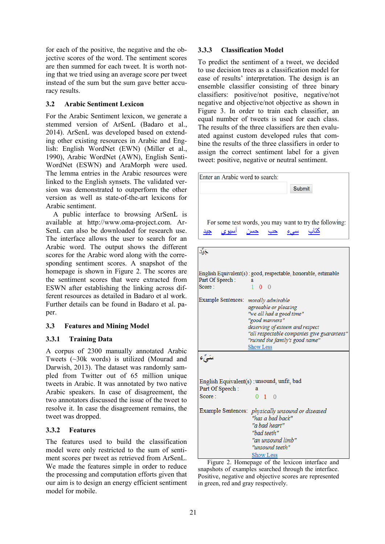for each of the positive, the negative and the objective scores of the word. The sentiment scores are then summed for each tweet. It is worth noting that we tried using an average score per tweet instead of the sum but the sum gave better accuracy results.

# **3.2 Arabic Sentiment Lexicon**

For the Arabic Sentiment lexicon, we generate a stemmed version of ArSenL (Badaro et al., 2014). ArSenL was developed based on extending other existing resources in Arabic and English: English WordNet (EWN) (Miller et al., 1990), Arabic WordNet (AWN), English Senti-WordNet (ESWN) and AraMorph were used. The lemma entries in the Arabic resources were linked to the English synsets. The validated version was demonstrated to outperform the other version as well as state-of-the-art lexicons for Arabic sentiment.

A public interface to browsing ArSenL is available at http://www.oma-project.com. Ar-SenL can also be downloaded for research use. The interface allows the user to search for an Arabic word. The output shows the different scores for the Arabic word along with the corresponding sentiment scores. A snapshot of the homepage is shown in Figure 2. The scores are the sentiment scores that were extracted from ESWN after establishing the linking across different resources as detailed in Badaro et al work. Further details can be found in Badaro et al. paper.

# **3.3 Features and Mining Model**

# **3.3.1 Training Data**

A corpus of 2300 manually annotated Arabic Tweets (~30k words) is utilized (Mourad and Darwish, 2013). The dataset was randomly sampled from Twitter out of 65 million unique tweets in Arabic. It was annotated by two native Arabic speakers. In case of disagreement, the two annotators discussed the issue of the tweet to resolve it. In case the disagreement remains, the tweet was dropped.

# **3.3.2 Features**

The features used to build the classification model were only restricted to the sum of sentiment scores per tweet as retrieved from ArSenL. We made the features simple in order to reduce the processing and computation efforts given that our aim is to design an energy efficient sentiment model for mobile.

# **3.3.3 Classification Model**

To predict the sentiment of a tweet, we decided to use decision trees as a classification model for ease of results' interpretation. The design is an ensemble classifier consisting of three binary classifiers: positive/not positive, negative/not negative and objective/not objective as shown in Figure 3. In order to train each classifier, an equal number of tweets is used for each class. The results of the three classifiers are then evaluated against custom developed rules that combine the results of the three classifiers in order to assign the correct sentiment label for a given tweet: positive, negative or neutral sentiment.

| Enter an Arabic word to search: |                                                                |
|---------------------------------|----------------------------------------------------------------|
|                                 | <b>Submit</b>                                                  |
|                                 |                                                                |
|                                 |                                                                |
|                                 | For some test words, you may want to try the following:        |
| <u>اسيوي</u><br>چید             | <u>کتاب سیء حب</u><br>حسن                                      |
|                                 |                                                                |
| جَيَّد                          |                                                                |
|                                 |                                                                |
|                                 | English Equivalent(s): good, respectable, honorable, estimable |
| Part Of Speech:<br>Score:       | a<br>$1\quad 0\quad 0$                                         |
|                                 |                                                                |
| Example Sentences:              | morally admirable                                              |
|                                 | agreeable or pleasing                                          |
|                                 | "we all had a good time"                                       |
|                                 | "good manners"<br>deserving of esteem and respect              |
|                                 | "all respectable companies give guarantees"                    |
|                                 | "ruined the family's good name"                                |
|                                 | <b>Show Less</b>                                               |
| سَيِّء                          |                                                                |
|                                 |                                                                |
|                                 |                                                                |
|                                 | English Equivalent(s): unsound, unfit, bad                     |
| Part Of Speech:                 | я                                                              |
| Score:                          | $0 \quad 1 \quad 0$                                            |
|                                 | Example Sentences: physically unsound or diseased              |
|                                 | "has a bad back"                                               |
|                                 | "a bad heart"                                                  |
|                                 | "bad teeth"                                                    |
|                                 | "an unsound limb"                                              |
|                                 | "unsound teeth"                                                |
|                                 | Show Less                                                      |

Figure 2. Homepage of the lexicon interface and snapshots of examples searched through the interface. Positive, negative and objective scores are represented in green, red and gray respectively.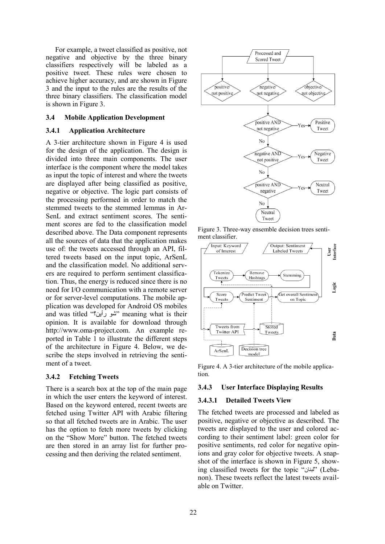For example, a tweet classified as positive, not negative and objective by the three binary classifiers respectively will be labeled as a positive tweet. These rules were chosen to achieve higher accuracy, and are shown in Figure 3 and the input to the rules are the results of the three binary classifiers. The classification model is shown in Figure 3.

#### **3.4 Mobile Application Development**

#### **3.4.1 Application Architecture**

A 3-tier architecture shown in Figure 4 is used for the design of the application. The design is divided into three main components. The user interface is the component where the model takes as input the topic of interest and where the tweets are displayed after being classified as positive, negative or objective. The logic part consists of the processing performed in order to match the stemmed tweets to the stemmed lemmas in Ar-SenL and extract sentiment scores. The sentiment scores are fed to the classification model described above. The Data component represents all the sources of data that the application makes use of: the tweets accessed through an API, filtered tweets based on the input topic, ArSenL and the classification model. No additional servers are required to perform sentiment classification. Thus, the energy is reduced since there is no need for I/O communication with a remote server or for server-level computations. The mobile application was developed for Android OS mobiles and was titled "رأين؟ شو "meaning what is their opinion. It is available for download through http://www.oma-project.com. An example reported in Table 1 to illustrate the different steps of the architecture in Figure 4. Below, we describe the steps involved in retrieving the sentiment of a tweet.

#### **3.4.2 Fetching Tweets**

There is a search box at the top of the main page in which the user enters the keyword of interest. Based on the keyword entered, recent tweets are fetched using Twitter API with Arabic filtering so that all fetched tweets are in Arabic. The user has the option to fetch more tweets by clicking on the "Show More" button. The fetched tweets are then stored in an array list for further processing and then deriving the related sentiment.



Figure 3. Three-way ensemble decision trees sentiment classifier.



Figure 4. A 3-tier architecture of the mobile application.

#### **3.4.3 User Interface Displaying Results**

#### **3.4.3.1 Detailed Tweets View**

The fetched tweets are processed and labeled as positive, negative or objective as described. The tweets are displayed to the user and colored according to their sentiment label: green color for positive sentiments, red color for negative opinions and gray color for objective tweets. A snapshot of the interface is shown in Figure 5, showing classified tweets for the topic "لبنان) "Lebanon). These tweets reflect the latest tweets available on Twitter.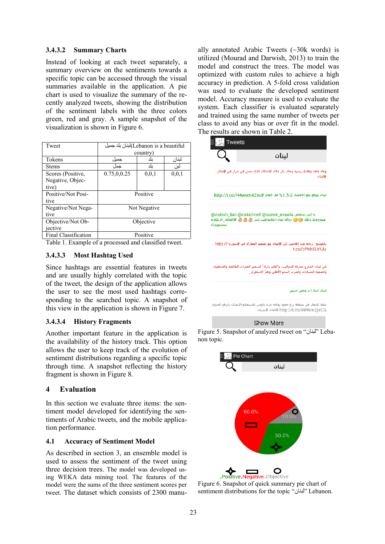# **3.4.3.2 Summary Charts**

Instead of looking at each tweet separately, a summary overview on the sentiments towards a specific topic can be accessed through the visual summaries available in the application. A pie chart is used to visualize the summary of the recently analyzed tweets, showing the distribution of the sentiment labels with the three colors green, red and gray. A sample snapshot of the visualization is shown in Figure 6.

| Tweet                | Lebanon is a beautiful)لبنان بلد جميل |              |         |
|----------------------|---------------------------------------|--------------|---------|
|                      |                                       | country)     |         |
| Tokens               | جميل                                  | بلد          | لبنان   |
| <b>Stems</b>         | جمل                                   | ىلد          | لبن     |
| Scores (Positive,    | 0.75,0,0.25                           | 0, 0, 1      | 0, 0, 1 |
| Negative, Objec-     |                                       |              |         |
| tive)                |                                       |              |         |
| Positive/Not Posi-   | Positive                              |              |         |
| tive                 |                                       |              |         |
| Negative/Not Nega-   |                                       | Not Negative |         |
| tive                 |                                       |              |         |
| Objective/Not Ob-    |                                       | Objective    |         |
| jective              |                                       |              |         |
| Final Classification |                                       | Positive     |         |

Table 1. Example of a processed and classified tweet.

### **3.4.3.3 Most Hashtag Used**

Since hashtags are essential features in tweets and are usually highly correlated with the topic of the tweet, the design of the application allows the user to see the most used hashtags corresponding to the searched topic. A snapshot of this view in the application is shown in Figure 7.

### **3.4.3.4 History Fragments**

Another important feature in the application is the availability of the history track. This option allows the user to keep track of the evolution of sentiment distributions regarding a specific topic through time. A snapshot reflecting the history fragment is shown in Figure 8.

# **4 Evaluation**

In this section we evaluate three items: the sentiment model developed for identifying the sentiments of Arabic tweets, and the mobile application performance.

### **4.1 Accuracy of Sentiment Model**

As described in section 3, an ensemble model is used to assess the sentiment of the tweet using three decision trees. The model was developed using WEKA data mining tool. The features of the model were the sums of the three sentiment scores per tweet. The dataset which consists of 2300 manually annotated Arabic Tweets  $(\sim 30k$  words) is utilized (Mourad and Darwish, 2013) to train the model and construct the trees. The model was optimized with custom rules to achieve a high accuracy in prediction. A 5-fold cross validation was used to evaluate the developed sentiment model. Accuracy measure is used to evaluate the system. Each classifier is evaluated separately and trained using the same number of tweets per class to avoid any bias or over fit in the model. The results are shown in Table 2.









Figure 6. Snapshot of quick summary pie chart of sentiment distributions for the topic "لبنان" Lebanon.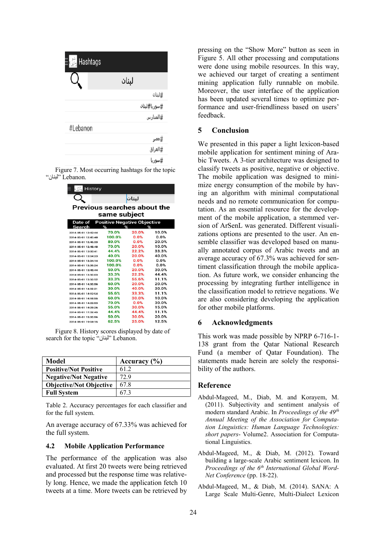| Hashtags |              |
|----------|--------------|
|          | لبنان        |
|          | #لبنان       |
|          | #سوريا#لبنان |
|          | #المدارس     |
| #Lebanon |              |
|          | #مصر         |
|          | #العراق      |
|          | #سوريا       |

Figure 7. Most occurring hashtags for the topic .Lebanon" لبنان"

| History             |                                    |       |       |  |  |
|---------------------|------------------------------------|-------|-------|--|--|
|                     |                                    | لبنان |       |  |  |
|                     | Previous searches about the        |       |       |  |  |
| same subject        |                                    |       |       |  |  |
|                     |                                    |       |       |  |  |
| Date of             | <b>Positive Negative Objective</b> |       |       |  |  |
| Search              | %<br>%                             |       | ℅     |  |  |
| 2014-05-01 12:42:44 | 70.0%                              | 20.0% | 10.0% |  |  |
| 2014-05-01 12:45:40 | 100 0%                             | 0.0%  | 0.0%  |  |  |
| 2014-05-01 12:46:33 | 80.0%                              | 0.0%  | 20.0% |  |  |
| 2014-05-01 12:48:48 | 70.0%                              | 20.0% | 10.0% |  |  |
| 2014-05-01 13:00:41 | 44.4%                              | 22.2% | 33.3% |  |  |
| 2014-05-01 13:04:23 | 40.0%                              | 20.0% | 40.0% |  |  |
| 2014-05-01 13:34:14 | 100.0%                             | 0.0%  | 0.0%  |  |  |
| 2014-05-01 13:39:24 | 100.0%                             | 0.0%  | 0.0%  |  |  |
| 2014-05-01 13:45:44 | 50.0%                              | 20.0% | 30.0% |  |  |
| 2014-05-01 13:50:03 | 33.3%                              | 22.2% | 44 4% |  |  |
| 2014-05-01 13:50:52 | 33.3%                              | 55.6% | 11.1% |  |  |
| 2014-05-01 14:00:56 | 60.0%                              | 20.0% | 20.0% |  |  |
| 2014-05-01 14:02:21 | 30.0%                              | 40.0% | 30.0% |  |  |
| 2014-05-01 14:12:54 | 55.6%                              | 33.3% | 11.1% |  |  |
| 2014-05-01 14:18:55 | 60.0%                              | 30.0% | 10.0% |  |  |
| 2014-05-01 14:22:53 | 70.0%                              | 0.0%  | 30.0% |  |  |
| 2014-05-01 14:25:26 | 55.0%                              | 30.0% | 15.0% |  |  |
| 2014-05-01 17:32:45 | 44 4%                              | 44.4% | 11.1% |  |  |
| 2014-05-01 19:00:56 | 50.0%                              | 30.0% | 20.0% |  |  |
| 2014-05-01 19:04:15 | 62.5%                              | 25.0% | 12.5% |  |  |

Figure 8. History scores displayed by date of search for the topic "لبنان" Lebanon.

| Model                          | Accuracy $(\% )$ |
|--------------------------------|------------------|
| <b>Positive/Not Positive</b>   | 61.2             |
| <b>Negative/Not Negative</b>   | 72.9             |
| <b>Objective/Not Objective</b> | 67.8             |
| <b>Full System</b>             | 67 3             |

Table 2. Accuracy percentages for each classifier and for the full system.

An average accuracy of 67.33% was achieved for the full system.

#### **4.2 Mobile Application Performance**

The performance of the application was also evaluated. At first 20 tweets were being retrieved and processed but the response time was relatively long. Hence, we made the application fetch 10 tweets at a time. More tweets can be retrieved by pressing on the "Show More" button as seen in Figure 5. All other processing and computations were done using mobile resources. In this way, we achieved our target of creating a sentiment mining application fully runnable on mobile. Moreover, the user interface of the application has been updated several times to optimize performance and user-friendliness based on users' feedback.

### **5 Conclusion**

We presented in this paper a light lexicon-based mobile application for sentiment mining of Arabic Tweets. A 3-tier architecture was designed to classify tweets as positive, negative or objective. The mobile application was designed to minimize energy consumption of the mobile by having an algorithm with minimal computational needs and no remote communication for computation. As an essential resource for the development of the mobile application, a stemmed version of ArSenL was generated. Different visualizations options are presented to the user. An ensemble classifier was developed based on manually annotated corpus of Arabic tweets and an average accuracy of 67.3% was achieved for sentiment classification through the mobile application. As future work, we consider enhancing the processing by integrating further intelligence in the classification model to retrieve negations. We are also considering developing the application for other mobile platforms.

### **6 Acknowledgments**

This work was made possible by NPRP 6-716-1- 138 grant from the Qatar National Research Fund (a member of Qatar Foundation). The statements made herein are solely the responsibility of the authors.

### **Reference**

- Abdul-Mageed, M., Diab, M. and Korayem, M. (2011). Subjectivity and sentiment analysis of modern standard Arabic. In *Proceedings of the 49th Annual Meeting of the Association for Computation Linguistics: Human Language Technologies: short papers*- Volume2. Association for Computational Linguistics.
- Abdul-Mageed, M., & Diab, M. (2012). Toward building a large-scale Arabic sentiment lexicon. In *Proceedings of the 6th International Global Word-Net Conference* (pp. 18-22).
- Abdul-Mageed, M., & Diab, M. (2014). SANA: A Large Scale Multi-Genre, Multi-Dialect Lexicon